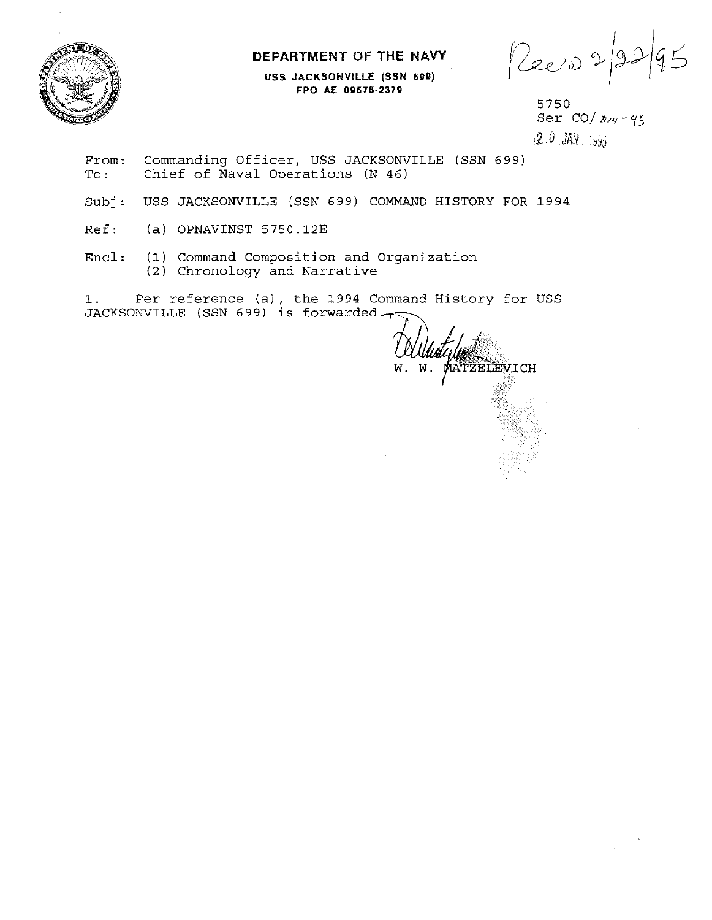**DEPARTMENT OF THE NAVY** 



**USS JACKSONVILLE (SSN 699) FPO AE OQ575·237U** 

Reevo2

From: Commanding Officer, USS JACKSONVILLE (SSN 699)<br>To: Chief of Naval Operations (N 46) Chief of  $\bar{N}$ aval Operations  $(N \ 46)$ 

Subj: USS JACKSONVILLE (SSN 699) COMMAND HISTORY FOR 1994

Ref: (a) OPNAVINST 5750.12E

Encl: (1) Command Composition and Organization (2) Chronology and Narrative

1. Per reference (a), the 1994 Command History for USS JACKSONVILLE (SSN 699) is forwarded  $\rightarrow$ 

W. MATZELEVICH м.

<sup>5750</sup>  Ser *CO/My-95 !\_2.\_0 .JAN\_ ;:J9J*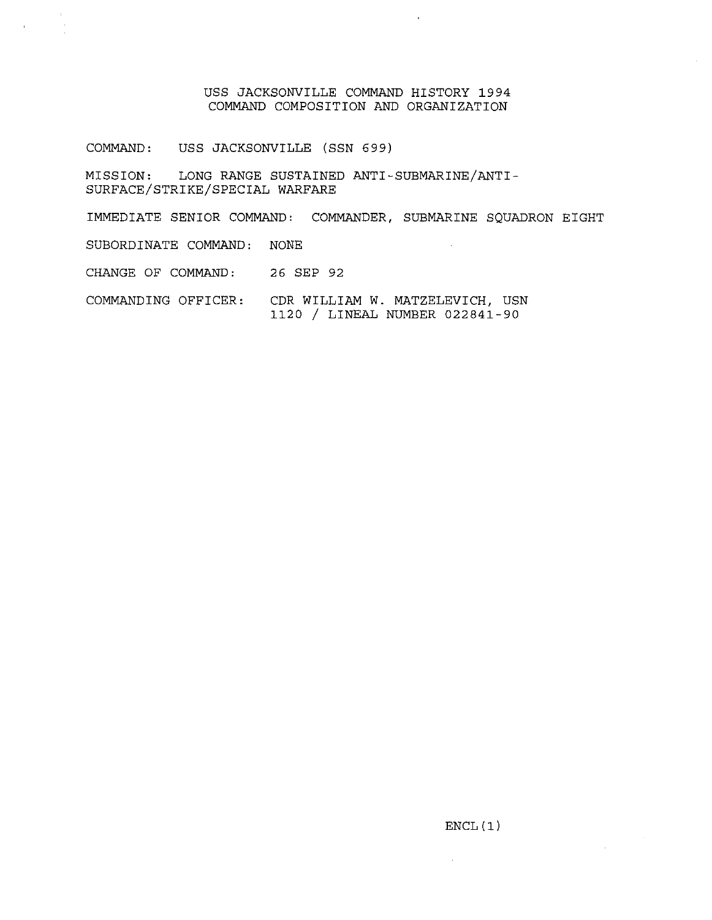## USS JACKSONVILLE COMMAND HISTORY 1994 COMMAND COMPOSITION AND ORGANIZATION

COMMAND: USS JACKSONVILLE (SSN 699)

MISSION: LONG RANGE SUSTAINED ANTI-SUBMARINE/ANTI-SURFACE/STRIKE/SPECIAL WARFARE

IMMEDIATE SENIOR COMMAND: COMMANDER, SUBMARINE SQUADRON EIGHT SUBORDINATE COMMAND: NONE CHANGE OF COMMAND: 26 SEP 92

COMMANDING OFFICER: CDR WILLIAM W. MATZELEVICH, USN 1120 / LINEAL NUMBER 022841-90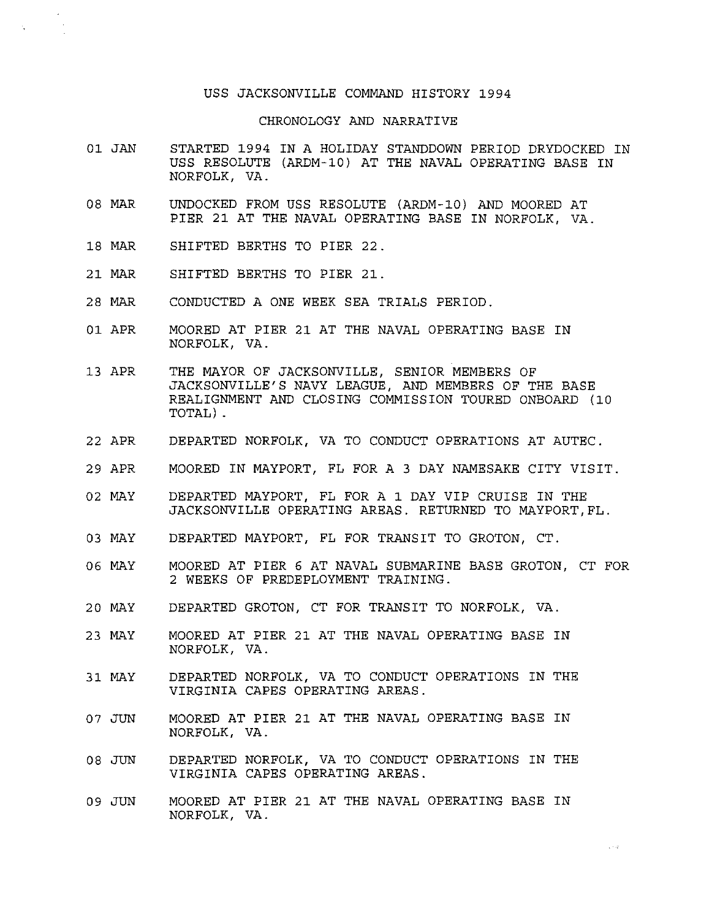## USS JACKSONVILLE COMMAND HISTORY 1994

## CHRONOLOGY AND NARRATIVE

- 01 JAN STARTED 1994 IN A HOLIDAY STANDDOWN PERIOD DRYDOCKED IN USS RESOLUTE (ARDM-10) AT THE NAVAL OPERATING BASE IN NORFOLK, VA.
- 08 MAR UNDOCKED FROM USS RESOLUTE (ARDM-10) AND MOORED AT PIER 21 AT THE NAVAL OPERATING BASE IN NORFOLK, VA.
- 18 MAR SHIFTED BERTHS TO PIER 22.
- 21 MAR SHIFTED BERTHS TO PIER 21.
- 28 MAR CONDUCTED A ONE WEEK SEA TRIALS PERIOD.
- 01 APR MOORED AT PIER 21 AT THE NAVAL OPERATING BASE IN NORFOLK, VA.
- 13 APR THE MAYOR OF JACKSONVILLE, SENIOR MEMBERS OF JACKSONVILLE'S NAVY LEAGUE, AND MEMBERS OF THE BASE REALIGNMENT AND CLOSING COMMISSION TOURED ONBOARD (10 TOTAL).
- 22 APR DEPARTED NORFOLK, VA TO CONDUCT OPERATIONS AT AUTEC.
- 29 APR MOORED IN MAYPORT, FL FOR A 3 DAY NAMESAKE CITY VISIT.
- 02 MAY DEPARTED MAYPORT, FL FOR A 1 DAY VIP CRUISE IN THE JACKSONVILLE OPERATING AREAS. RETURNED TO MAYPORT,FL.
- 03 MAY DEPARTED MAYPORT, FL FOR TRANSIT TO GROTON, CT.
- 06 MAY MOORED AT PIER 6 AT NAVAL SUBMARINE BASE GROTON, CT FOR 2 WEEKS OF PREDEPLOYMENT TRAINING.
- 20 MAY DEPARTED GROTON, CT FOR TRANSIT TO NORFOLK, VA.
- 23 MAY MOORED AT PIER 21 AT THE NAVAL OPERATING BASE IN NORFOLK, VA.
- 31 MAY DEPARTED NORFOLK, VA TO CONDUCT OPERATIONS IN THE VIRGINIA CAPES OPERATING AREAS.
- 07 JUN MOORED AT PIER 21 AT THE NAVAL OPERATING BASE IN NORFOLK, VA.
- 08 JUN DEPARTED NORFOLK, VA TO CONDUCT OPERATIONS IN THE VIRGINIA CAPES OPERATING AREAS.
- 09 JUN MOORED AT PIER 21 AT THE NAVAL OPERATING BASE IN NORFOLK, VA.

 $\sim$   $\sim$   $\omega$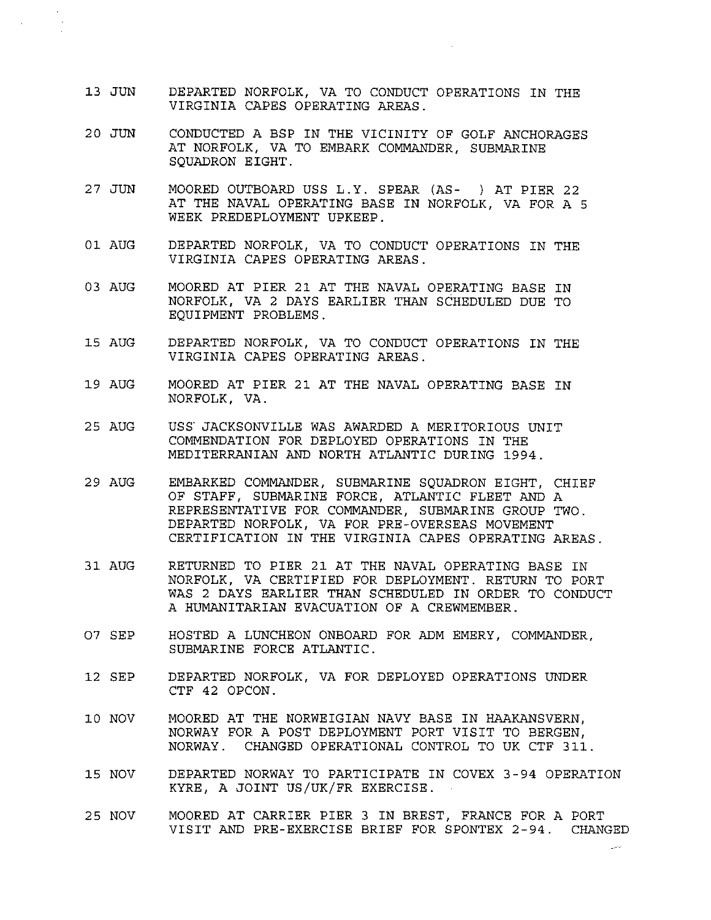- 13 JUN DEPARTED NORFOLK, VA TO CONDUCT OPERATIONS IN THE VIRGINIA CAPES OPERATING AREAS.
- 20 JUN CONDUCTED A BSP IN THE VICINITY OF GOLF ANCHORAGES AT NORFOLK, VA TO EMBARK COMMANDER, SUBMARINE SOUADRON EIGHT.
- 27 JUN MOORED OUTBOARD USS L.Y. SPEAR (AS- ) AT PIER 22 AT THE NAVAL OPERATING BASE IN NORFOLK, VA FOR A 5 WEEK PREDEPLOYMENT UPKEEP.
- 01 AUG DEPARTED NORFOLK, VA TO CONDUCT OPERATIONS IN THE VIRGINIA CAPES OPERATING AREAS.
- 03 AUG MOORED AT PIER 21 AT THE NAVAL OPERATING BASE IN NORFOLK, VA 2 DAYS EARLIER THAN SCHEDULED DUE TO EQUIPMENT PROBLEMS.
- 15 AUG DEPARTED NORFOLK, VA TO CONDUCT OPERATIONS IN THE VIRGINIA CAPES OPERATING AREAS.
- 19 AUG MOORED AT PIER 21 AT THE NAVAL OPERATING BASE IN NORFOLK, VA.
- 25 AUG uss· JACKSONVILLE WAS AWARDED A MERITORIOUS UNIT COMMENDATION FOR DEPLOYED OPERATIONS IN THE MEDITERRANIAN AND NORTH ATLANTIC DURING 1994.
- 29 AUG EMBARKED COMMANDER, SUBMARINE SQUADRON EIGHT, CHIEF OF STAFF, SUBMARINE FORCE, ATLANTIC FLEET AND A REPRESENTATIVE FOR COMMANDER, SUBMARINE GROUP TWO. DEPARTED NORFOLK, VA FOR PRE-OVERSEAS MOVEMENT CERTIFICATION IN THE VIRGINIA CAPES OPERATING AREAS.
- 31 AUG RETURNED TO PIER 21 AT THE NAVAL OPERATING BASE IN NORFOLK, VA CERTIFIED FOR DEPLOYMENT. RETURN TO PORT WAS 2 DAYS EARLIER THAN SCHEDULED IN ORDER TO CONDUCT A HUMANITARIAN EVACUATION OF A CREWMEMBER.
- 07 SEP HOSTED A LUNCHEON ONBOARD FOR ADM EMERY, COMMANDER, SUBMARINE FORCE ATLANTIC.
- 12 SEP DEPARTED NORFOLK, VA FOR DEPLOYED OPERATIONS UNDER CTF 42 OPCON.
- 10 NOV MOORED AT THE NORWEIGIAN NAVY BASE IN HAAKANSVERN, NORWAY FOR A POST DEPLOYMENT PORT VISIT TO BERGEN, NORWAY. CHANGED OPERATIONAL CONTROL TO UK CTF 311.
- 15 NOV DEPARTED NORWAY TO PARTICIPATE IN COVEX 3-94 OPERATION KYRE, A JOINT US/UK/FR EXERCISE.
- 25 NOV MOORED AT CARRIER PIER 3 IN BREST, FRANCE FOR A PORT VISIT AND PRE-EXERCISE BRIEF FOR SPONTEX 2-94. CHANGED